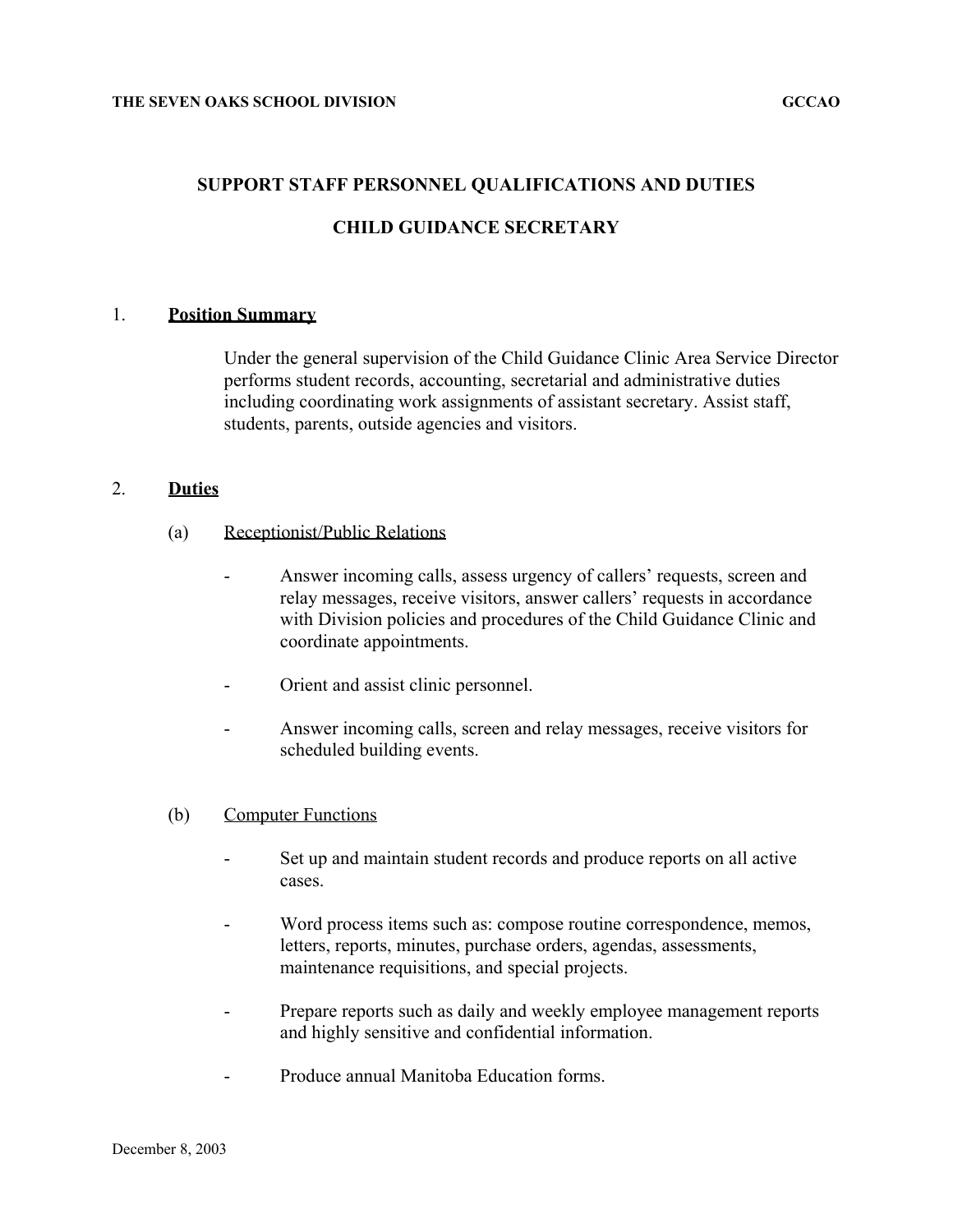### **SUPPORT STAFF PERSONNEL QUALIFICATIONS AND DUTIES**

## **CHILD GUIDANCE SECRETARY**

#### 1. **Position Summary**

Under the general supervision of the Child Guidance Clinic Area Service Director performs student records, accounting, secretarial and administrative duties including coordinating work assignments of assistant secretary. Assist staff, students, parents, outside agencies and visitors.

## 2. **Duties**

- (a) Receptionist/Public Relations
	- Answer incoming calls, assess urgency of callers' requests, screen and relay messages, receive visitors, answer callers' requests in accordance with Division policies and procedures of the Child Guidance Clinic and coordinate appointments.
	- Orient and assist clinic personnel.
	- Answer incoming calls, screen and relay messages, receive visitors for scheduled building events.

#### (b) Computer Functions

- Set up and maintain student records and produce reports on all active cases.
- Word process items such as: compose routine correspondence, memos, letters, reports, minutes, purchase orders, agendas, assessments, maintenance requisitions, and special projects.
- Prepare reports such as daily and weekly employee management reports and highly sensitive and confidential information.
- Produce annual Manitoba Education forms.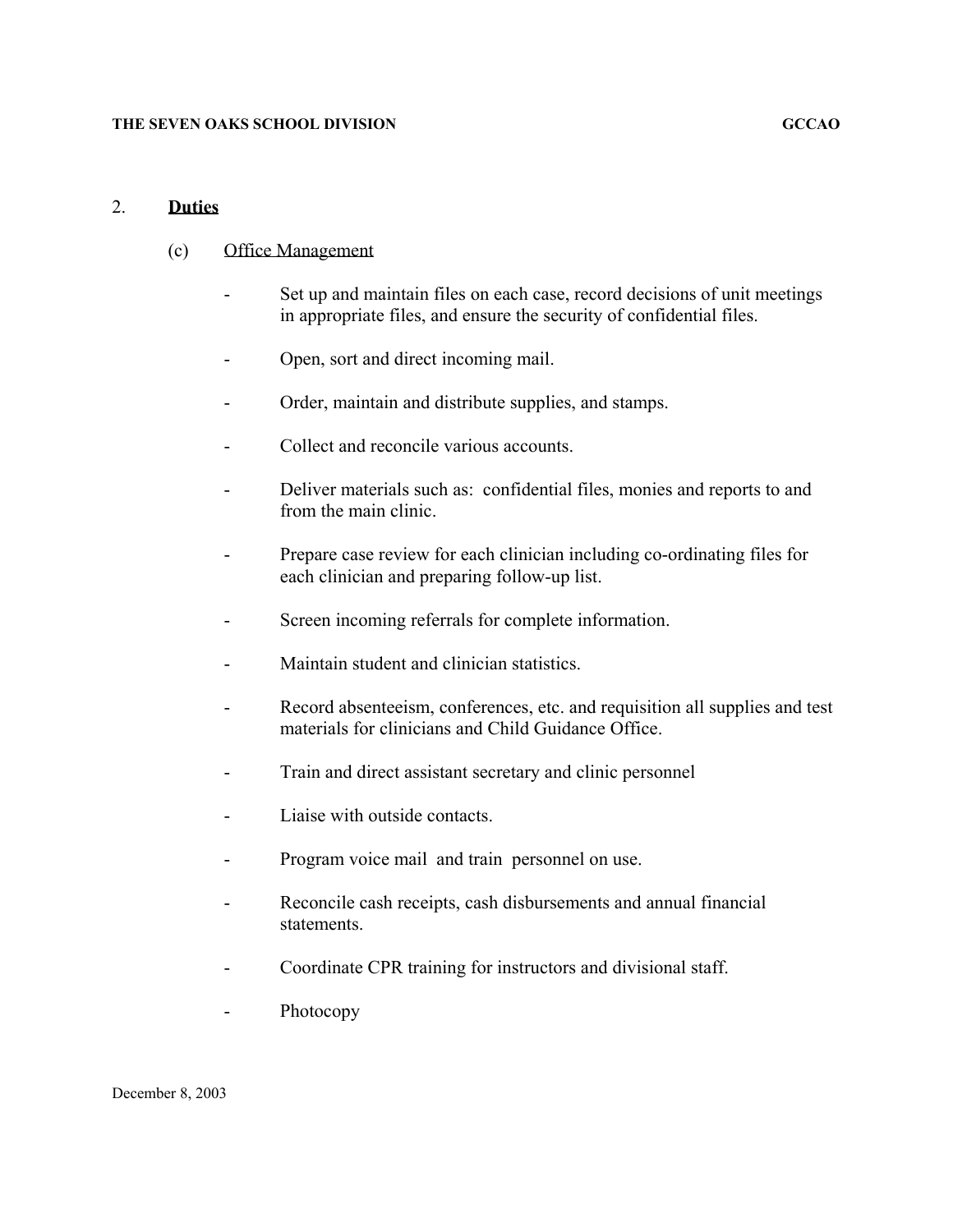## 2. **Duties**

## (c) Office Management

- Set up and maintain files on each case, record decisions of unit meetings in appropriate files, and ensure the security of confidential files.
- Open, sort and direct incoming mail.
- Order, maintain and distribute supplies, and stamps.
- Collect and reconcile various accounts.
- Deliver materials such as: confidential files, monies and reports to and from the main clinic.
- Prepare case review for each clinician including co-ordinating files for each clinician and preparing follow-up list.
- Screen incoming referrals for complete information.
- Maintain student and clinician statistics.
- Record absenteeism, conferences, etc. and requisition all supplies and test materials for clinicians and Child Guidance Office.
- Train and direct assistant secretary and clinic personnel
- Liaise with outside contacts.
- Program voice mail and train personnel on use.
- Reconcile cash receipts, cash disbursements and annual financial statements.
- Coordinate CPR training for instructors and divisional staff.
- Photocopy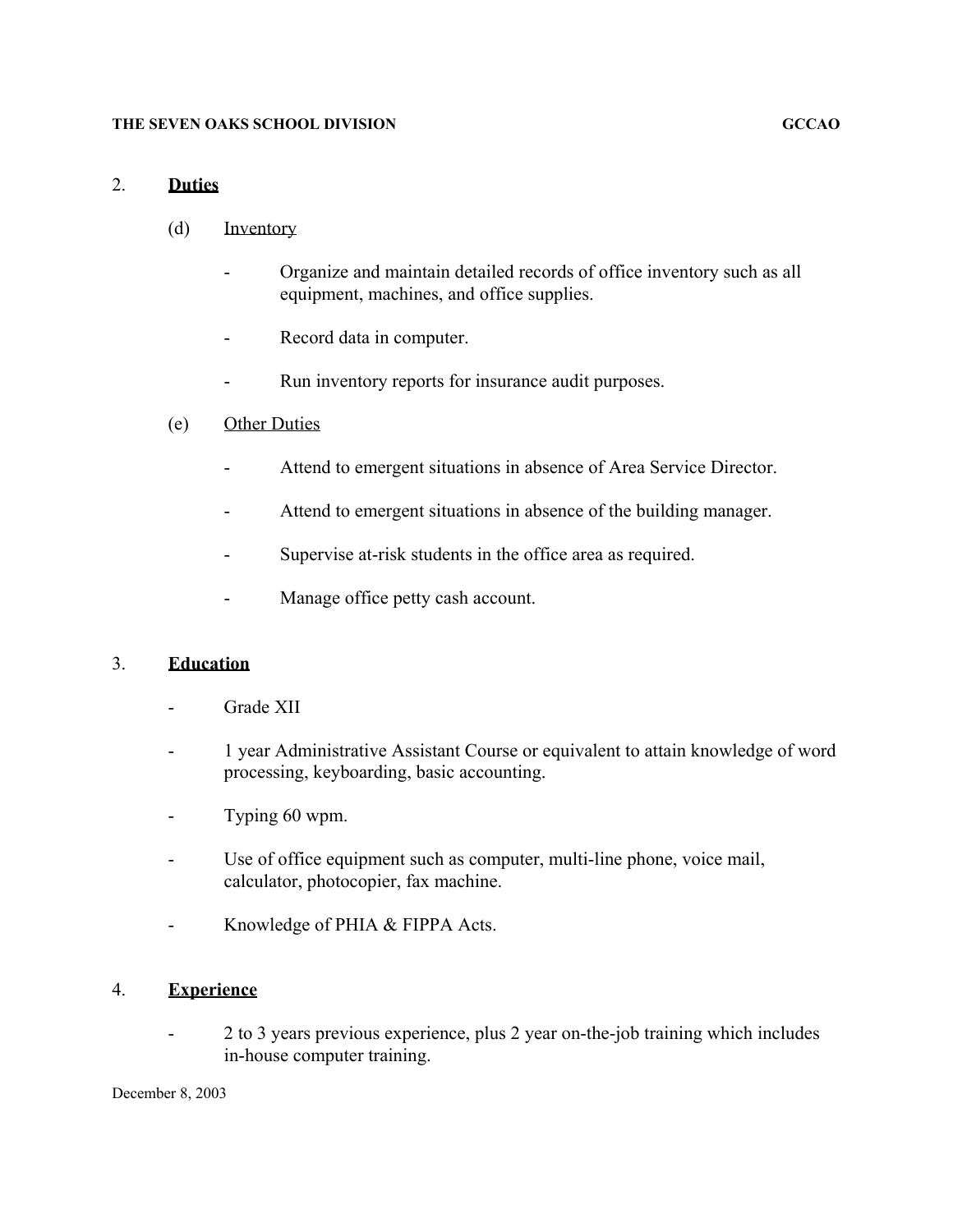#### **THE SEVEN OAKS SCHOOL DIVISION GCCAO**

## 2. **Duties**

- (d) Inventory
	- Organize and maintain detailed records of office inventory such as all equipment, machines, and office supplies.
	- Record data in computer.
	- Run inventory reports for insurance audit purposes.
- (e) Other Duties
	- Attend to emergent situations in absence of Area Service Director.
	- Attend to emergent situations in absence of the building manager.
	- Supervise at-risk students in the office area as required.
	- Manage office petty cash account.

## 3. **Education**

- Grade XII
- 1 year Administrative Assistant Course or equivalent to attain knowledge of word processing, keyboarding, basic accounting.
- Typing 60 wpm.
- Use of office equipment such as computer, multi-line phone, voice mail, calculator, photocopier, fax machine.
- Knowledge of PHIA & FIPPA Acts.

## 4. **Experience**

- 2 to 3 years previous experience, plus 2 year on-the-job training which includes in-house computer training.

December 8, 2003